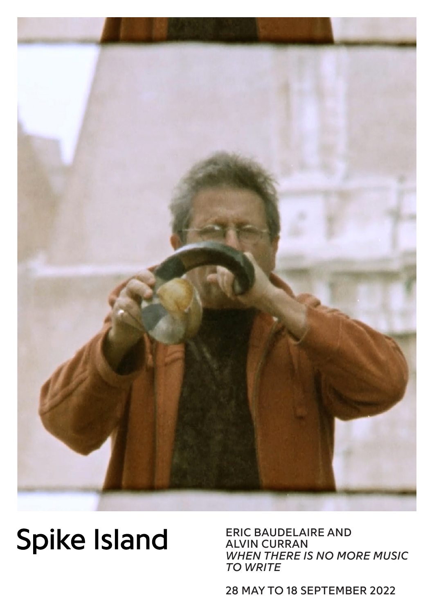

## **Spike Island**

ERIC BAUDELAIRE AND ALVIN CURRAN *WHEN THERE IS NO MORE MUSIC TO WRITE*

28 MAY TO 18 SEPTEMBER 2022